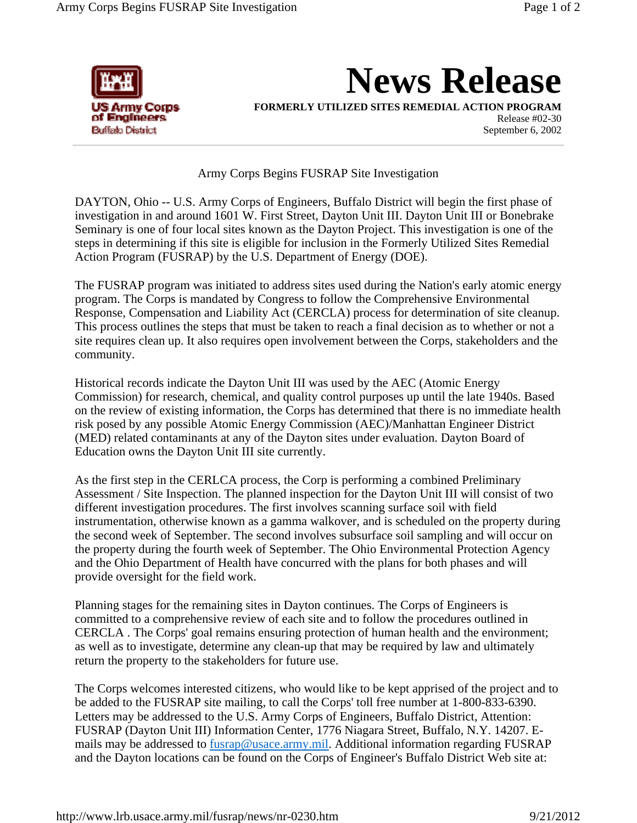

**News Release**

**FORMERLY UTILIZED SITES REMEDIAL ACTION PROGRAM**

Release #02-30 September 6, 2002

Army Corps Begins FUSRAP Site Investigation

DAYTON, Ohio -- U.S. Army Corps of Engineers, Buffalo District will begin the first phase of investigation in and around 1601 W. First Street, Dayton Unit III. Dayton Unit III or Bonebrake Seminary is one of four local sites known as the Dayton Project. This investigation is one of the steps in determining if this site is eligible for inclusion in the Formerly Utilized Sites Remedial Action Program (FUSRAP) by the U.S. Department of Energy (DOE).

The FUSRAP program was initiated to address sites used during the Nation's early atomic energy program. The Corps is mandated by Congress to follow the Comprehensive Environmental Response, Compensation and Liability Act (CERCLA) process for determination of site cleanup. This process outlines the steps that must be taken to reach a final decision as to whether or not a site requires clean up. It also requires open involvement between the Corps, stakeholders and the community.

Historical records indicate the Dayton Unit III was used by the AEC (Atomic Energy Commission) for research, chemical, and quality control purposes up until the late 1940s. Based on the review of existing information, the Corps has determined that there is no immediate health risk posed by any possible Atomic Energy Commission (AEC)/Manhattan Engineer District (MED) related contaminants at any of the Dayton sites under evaluation. Dayton Board of Education owns the Dayton Unit III site currently.

As the first step in the CERLCA process, the Corp is performing a combined Preliminary Assessment / Site Inspection. The planned inspection for the Dayton Unit III will consist of two different investigation procedures. The first involves scanning surface soil with field instrumentation, otherwise known as a gamma walkover, and is scheduled on the property during the second week of September. The second involves subsurface soil sampling and will occur on the property during the fourth week of September. The Ohio Environmental Protection Agency and the Ohio Department of Health have concurred with the plans for both phases and will provide oversight for the field work.

Planning stages for the remaining sites in Dayton continues. The Corps of Engineers is committed to a comprehensive review of each site and to follow the procedures outlined in CERCLA . The Corps' goal remains ensuring protection of human health and the environment; as well as to investigate, determine any clean-up that may be required by law and ultimately return the property to the stakeholders for future use.

The Corps welcomes interested citizens, who would like to be kept apprised of the project and to be added to the FUSRAP site mailing, to call the Corps' toll free number at 1-800-833-6390. Letters may be addressed to the U.S. Army Corps of Engineers, Buffalo District, Attention: FUSRAP (Dayton Unit III) Information Center, 1776 Niagara Street, Buffalo, N.Y. 14207. Emails may be addressed to fusrap@usace.army.mil. Additional information regarding FUSRAP and the Dayton locations can be found on the Corps of Engineer's Buffalo District Web site at: